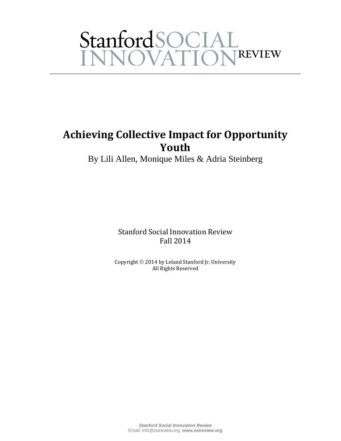# StanfordSOCIAL<br>INNOVATIONREVIEW

### **Achieving Collective Impact for Opportunity Youth**

By Lili Allen, Monique Miles & Adria Steinberg

Stanford Social Innovation Review Fall 2014

Copyright © 2014 by Leland Stanford Jr. University All Rights Reserved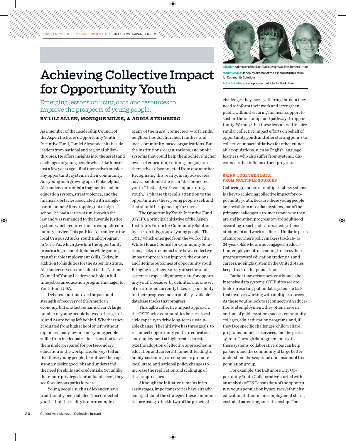## Achieving Collective Impact for Opportunity Youth

Emerging lessons on using data and resources to improve the prospects of young people.

#### **By Lili Allen, Monique Miles, & Adria Steinberg**

As a member of the Leadership Council of the Aspen Institute'[s Opportunity Youth](http://aspencommunitysolutions.org/the-fund/) [Incentive Fund,](http://aspencommunitysolutions.org/the-fund/) Jamiel Alexander sits beside leaders from national and regional philanthropies. He offers insights into the assets and challenges of young people who—like himself just a few years ago—find themselves outside any opportunity system in their community. As a young man growing up in Philadelphia, Alexander confronted a fragmented public education system, street violence, and the financial obstacles associated with a singleparent home. After dropping out of high school, he had a series of run-ins with the law and was remanded to the juvenile justice system, which required him to complete community service. This path led Alexander to the local [Crispus Attucks YouthBuild](http://crispusattucks.org/) program in York, Pa., which gave him the opportunity to earn a high school diploma while gaining transferrable employment skills. Today, in addition to his duties for the Aspen Institute, Alexander serves as president of the National Council of Young Leaders and holds a fulltime job as an education program manager for YouthBuild USA.

Debates continue over the pace and strength of recovery of the American economy, but one fact remains clear: A large number of young people between the ages of 16 and 24 are being left behind. Whether they graduated from high school or left without diplomas, many low-income young people suffer from inadequate educations that leave them underprepared for postsecondary education or the workplace. Surveys tell us that these young people, like others their age, strongly desire good jobs and understand the need for skills and credentials. Yet unlike their more privileged and affluent peers, they see few obvious paths forward.

Young people such as Alexander have traditionally been labeled "disconnected youth," but the reality is more complex.

Many of them *are* "connected"—to friends, neighborhoods, churches, families, and local community-based organizations. But the institutions, organizations, and public systems that could help them achieve higher levels of education, training, and jobs are themselves disconnected from one another. Recognizing this reality, many advocates have abandoned the term "disconnected youth." Instead, we favor "opportunity youth," a phrase that calls attention to the opportunities these young people seek and that should be opened up for them.

The Opportunity Youth Incentive Fund (OYIF), a principal initiative of the Aspen Institute's Forum for Community Solutions, focuses on this group of young people. The OYIF, which emerged from the work of the White House Council for Community Solutions, seeks to demonstrate how a collective impact approach can improve the options and lifetime outcomes of opportunity youth. Bringing together a variety of sectors and systems is especially appropriate for opportunity youth, because, by definition, no one set of institutions currently takes responsibility for their progress and no publicly available database tracks that progress.

Through a collective impact approach, the OYIF helps communities harness local civic capacity to drive long-term sustainable change. The initiative has three goals: to reconnect opportunity youth to education and employment at higher rates; to catalyze the adoption of effective approaches in education and career attainment, leading to family-sustaining careers; and to promote local, state, and national policy changes to increase the replication and scaling up of these approaches.

Although the initiative remains in its early stages, important stories have already emerged about the strategies these communities are using to tackle two of the principal

**Lili Allen** is director of Back on Track Designs at Jobs for the Future. **Monique Miles** is deputy director of the Aspen Institute Forum for Community Solutions.

**Adria Steinberg**is vice president of Jobs for the Future.

challenges they face—gathering the data they need to inform their work and strengthen public will, and securing financial support to sustain the on-ramps and pathways to opportunity. We hope that these lessons will inspire similar collective impact efforts on behalf of opportunity youth and offer starting points to collective impact initiatives for other vulnerable populations, such as English language learners, who also suffer from systemic disconnects that influence their progress.

#### **Bring Together Data from Multiple Sources**

Gathering data across multiple public systems is a key to achieving collective impact for opportunity youth. Because these young people are invisible in most data systems, one of the primary challenges is to understand who they are and how they progress toward adulthood according to such indicators as educational attainment and work readiness. Unlike in parts of Europe, where policymakers track 16- to 24-year-olds who are not engaged in education, employment, or training to assess their progress toward education credentials and careers, no single system in the United States keeps track of this population.

Rather than create new costly and laborintensive data systems, OYIF sites seek to build on existing public data systems, a task that involves working with multiple sources. As these youths look to reconnect with education and employment, they often move in and out of public systems such as community colleges, adult education programs, and, if they face specific challenges, child welfare programs, homeless services, and the justice system. Through data agreements with these systems, collaborative sites can help partners and the community at large better understand the scope and dimensions of this population group.

For example, the Baltimore City Opportunity Youth Collaborative started with an analysis of US Census data of the opportunity youth population by sex, race/ethnicity, educational attainment, employment status, custodial parenting, and citizenship. The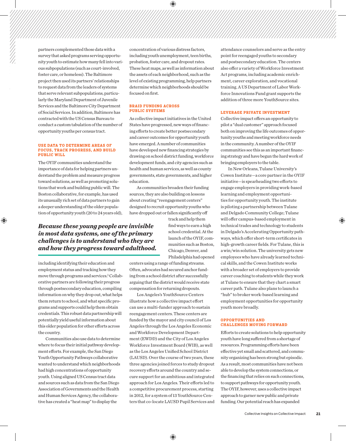partners complemented those data with a survey that asked programs serving opportunity youth to estimate how many fell into various subpopulations (such as court-involved, foster care, or homeless). The Baltimore project then used its partners' relationships to request data from the leaders of systems that serve relevant subpopulations, particularly the Maryland Department of Juvenile Services and the Baltimore City Department of Social Services. In addition, Baltimore has contracted with the US Census Bureau to conduct a custom tabulation of the number of opportunity youths per census tract.

#### **Use Data to Determine Areas of Focus, Track Progress, and Build Public Will**

The OYIF communities understand the importance of data for helping partners understand the problem and measure progress toward solutions, as well as promoting solutions that work and building public will. The Boston collaborative, for example, has used its unusually rich set of data partners to gain a deeper understanding of the older population of opportunity youth (20 to 24 years old), concentration of various distress factors, including youth unemployment, teen births, probation, foster care, and dropout rates. These heat maps, as well as information about the assets of each neighborhood, such as the level of existing programming, help partners determine which neighborhoods should be focused on first.

#### **Braid Funding Across Public Systems**

As collective impact initiatives in the United States have progressed, new ways of financing efforts to create better postsecondary and career outcomes for opportunity youth have emerged. A number of communities have developed new financing strategies by drawing on school district funding, workforce development funds, and city agencies such as health and human services, as well as county governments, state governments, and higher education.

As communities broaden their funding sources, they are also building on lessons about creating "reengagement centers" designed to recruit opportunity youths who have dropped out or fallen significantly off

> track and help them find ways to earn a high school credential. At the launch of the OYIF, communities such as Boston, Chicago, Denver, and Philadelphia had opened

*in most data systems, one of the primary challenges is to understand who they are and how they progress toward adulthood.*

*Because these young people are invisible* 

including identifying their education and employment status and tracking how they move through programs and services.<sup>1</sup> Collaborative partners are following their progress through postsecondary education, compiling information on why they drop out, what helps them return to school, and what specific programs and supports could help them obtain credentials. This robust data partnership will potentially yield useful information about this older population for other efforts across the country.

Communities also use data to determine where to focus their initial pathway development efforts. For example, the San Diego Youth Opportunity Pathways collaborative wanted to understand which neighborhoods had high concentrations of opportunity youth. Using aligned US Census tract data and sources such as data from the San Diego Association of Governments and the Health and Human Services Agency, the collaborative has created a "heat map" to display the

centers using a range of funding streams. Often, advocates had secured anchor funding from a school district after successfully arguing that the district would receive state compensation for returning dropouts.

Los Angeles's YouthSource Centers illustrate how a collective impact effort can use a multi-funder approach to sustain reengagement centers. These centers are funded by the mayor and city council of Los Angeles through the Los Angeles Economic and Workforce Development Department (EWDD) and the City of Los Angeles Workforce Investment Board (WIB), as well as the Los Angeles Unified School District (LAUSD). Over the course of two years, these three agencies joined forces to study dropout recovery efforts around the country and secure support for an ambitious and integrated approach for Los Angeles. Their efforts led to a competitive procurement process, starting in 2012, for a system of 13 YouthSource Centers that co-locate LAUSD Pupil Services and attendance counselors and serve as the entry point for reengaged youths to secondary and postsecondary education. The centers also offer a variety of Workforce Investment Act programs, including academic enrichment, career exploration, and vocational training. A US Department of Labor Workforce Innovations Fund grant supports the addition of three more YouthSource sites.

#### **Leverage Private Investment**

Collective impact offers an opportunity to pilot a "dual customer" approach focused both on improving the life outcomes of opportunity youths and meeting workforce needs in the community. A number of the OYIF communities see this as an important financing strategy and have begun the hard work of bringing employers to the table.

In New Orleans, Tulane University's Cowen Institute—a core partner in the OYIF initiative—is spearheading two efforts to engage employers in providing work-based learning and employment opportunities for opportunity youth. The institute is piloting a partnership between Tulane and Delgado Community College; Tulane will offer campus-based employment in technical trades and technology to students in Delgado's Accelerating Opportunity pathways, which offer short-term certificates in high-growth career fields. For Tulane, this is a win/win solution. The university gets new employees who have already learned technical skills, and the Cowen Institute works with a broader set of employers to provide career coaching to students while they work at Tulane to ensure that they chart a smart career path. Tulane also plans to launch a "hub" to broker work-based learning and employment opportunities for opportunity youth more broadly.

#### **Opportunities and Challenges Moving Forward**

Efforts to create solutions to help opportunity youth have long suffered from a shortage of resources. Programming efforts have been effective yet small and scattered, and community organizing has been strong but episodic. As a result, most communities have not been able to develop the system connections, or the financing that relies on such connections, to support pathways for opportunity youth. The OYIF, however, uses a collective impact approach to garner new public and private funding. Our potential reach has expanded